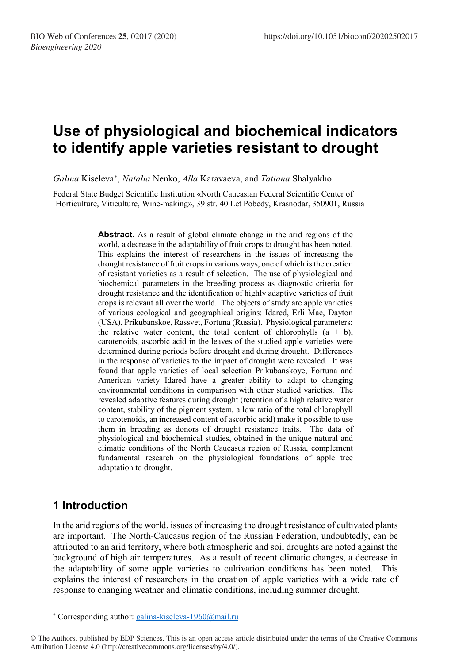# **Use of physiological and biochemical indicators to identify apple varieties resistant to drought**

*Galina* Kiseleva[∗](#page-0-0) , *Natalia* Nenko, *Alla* Karavaeva, and *Tatiana* Shalyakho

Federal State Budget Scientific Institution «North Caucasian Federal Scientific Center of Horticulture, Viticulture, Wine-making», 39 str. 40 Let Pobedy, Krasnodar, 350901, Russia

> **Abstract.** As a result of global climate change in the arid regions of the world, a decrease in the adaptability of fruit crops to drought has been noted. This explains the interest of researchers in the issues of increasing the drought resistance of fruit crops in various ways, one of which is the creation of resistant varieties as a result of selection. The use of physiological and biochemical parameters in the breeding process as diagnostic criteria for drought resistance and the identification of highly adaptive varieties of fruit crops is relevant all over the world. The objects of study are apple varieties of various ecological and geographical origins: Idared, Erli Mac, Dayton (USA), Prikubanskoe, Rassvet, Fortuna (Russia). Physiological parameters: the relative water content, the total content of chlorophylls  $(a + b)$ , carotenoids, ascorbic acid in the leaves of the studied apple varieties were determined during periods before drought and during drought. Differences in the response of varieties to the impact of drought were revealed. It was found that apple varieties of local selection Prikubanskoye, Fortuna and American variety Idared have a greater ability to adapt to changing environmental conditions in comparison with other studied varieties. The revealed adaptive features during drought (retention of a high relative water content, stability of the pigment system, a low ratio of the total chlorophyll to carotenoids, an increased content of ascorbic acid) make it possible to use them in breeding as donors of drought resistance traits. The data of physiological and biochemical studies, obtained in the unique natural and climatic conditions of the North Caucasus region of Russia, complement fundamental research on the physiological foundations of apple tree adaptation to drought.

## **1 Introduction**

 $\overline{\phantom{a}}$ 

In the arid regions of the world, issues of increasing the drought resistance of cultivated plants are important. The North-Caucasus region of the Russian Federation, undoubtedly, can be attributed to an arid territory, where both atmospheric and soil droughts are noted against the background of high air temperatures. As a result of recent climatic changes, a decrease in the adaptability of some apple varieties to cultivation conditions has been noted. This explains the interest of researchers in the creation of apple varieties with a wide rate of response to changing weather and climatic conditions, including summer drought.

<sup>∗</sup> Corresponding author[: galina-kiseleva-1960@mail.ru](mailto:galina-kiseleva-1960@mail.ru)

<span id="page-0-0"></span><sup>©</sup> The Authors, published by EDP Sciences. This is an open access article distributed under the terms of the Creative Commons Attribution License 4.0 (http://creativecommons.org/licenses/by/4.0/).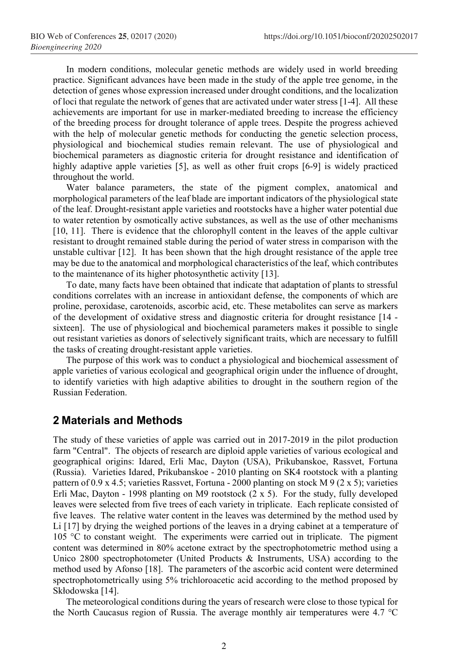In modern conditions, molecular genetic methods are widely used in world breeding practice. Significant advances have been made in the study of the apple tree genome, in the detection of genes whose expression increased under drought conditions, and the localization of loci that regulate the network of genes that are activated under water stress [1-4]. All these achievements are important for use in marker-mediated breeding to increase the efficiency of the breeding process for drought tolerance of apple trees. Despite the progress achieved with the help of molecular genetic methods for conducting the genetic selection process, physiological and biochemical studies remain relevant. The use of physiological and biochemical parameters as diagnostic criteria for drought resistance and identification of highly adaptive apple varieties [5], as well as other fruit crops [6-9] is widely practiced throughout the world.

Water balance parameters, the state of the pigment complex, anatomical and morphological parameters of the leaf blade are important indicators of the physiological state of the leaf. Drought-resistant apple varieties and rootstocks have a higher water potential due to water retention by osmotically active substances, as well as the use of other mechanisms [10, 11]. There is evidence that the chlorophyll content in the leaves of the apple cultivar resistant to drought remained stable during the period of water stress in comparison with the unstable cultivar [12]. It has been shown that the high drought resistance of the apple tree may be due to the anatomical and morphological characteristics of the leaf, which contributes to the maintenance of its higher photosynthetic activity [13].

To date, many facts have been obtained that indicate that adaptation of plants to stressful conditions correlates with an increase in antioxidant defense, the components of which are proline, peroxidase, carotenoids, ascorbic acid, etc. These metabolites can serve as markers of the development of oxidative stress and diagnostic criteria for drought resistance [14 sixteen]. The use of physiological and biochemical parameters makes it possible to single out resistant varieties as donors of selectively significant traits, which are necessary to fulfill the tasks of creating drought-resistant apple varieties.

The purpose of this work was to conduct a physiological and biochemical assessment of apple varieties of various ecological and geographical origin under the influence of drought, to identify varieties with high adaptive abilities to drought in the southern region of the Russian Federation.

#### **2 Materials and Methods**

The study of these varieties of apple was carried out in 2017-2019 in the pilot production farm "Central". The objects of research are diploid apple varieties of various ecological and geographical origins: Idared, Erli Mac, Dayton (USA), Prikubanskoe, Rassvet, Fortuna (Russia). Varieties Idared, Prikubanskoe - 2010 planting on SK4 rootstock with a planting pattern of 0.9 x 4.5; varieties Rassvet, Fortuna - 2000 planting on stock M 9 (2 x 5); varieties Erli Mac, Dayton - 1998 planting on M9 rootstock (2 x 5). For the study, fully developed leaves were selected from five trees of each variety in triplicate. Each replicate consisted of five leaves. The relative water content in the leaves was determined by the method used by Li [17] by drying the weighed portions of the leaves in a drying cabinet at a temperature of 105 °C to constant weight. The experiments were carried out in triplicate. The pigment content was determined in 80% acetone extract by the spectrophotometric method using a Unico 2800 spectrophotometer (United Products & Instruments, USA) according to the method used by Afonso [18]. The parameters of the ascorbic acid content were determined spectrophotometrically using 5% trichloroacetic acid according to the method proposed by Skłodowska [14].

The meteorological conditions during the years of research were close to those typical for the North Caucasus region of Russia. The average monthly air temperatures were 4.7 °C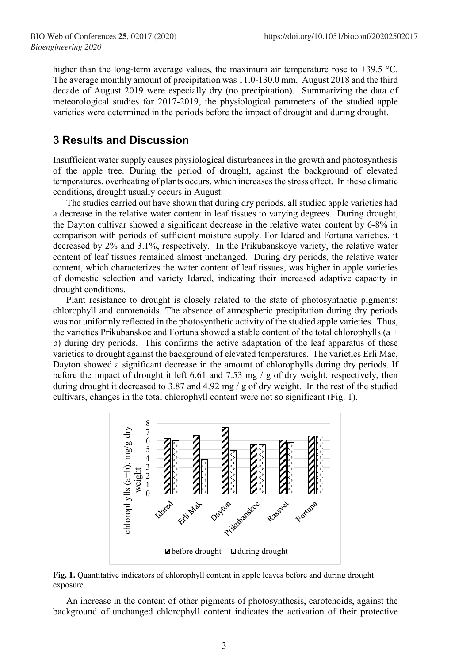higher than the long-term average values, the maximum air temperature rose to +39.5 °C. The average monthly amount of precipitation was 11.0-130.0 mm. August 2018 and the third decade of August 2019 were especially dry (no precipitation). Summarizing the data of meteorological studies for 2017-2019, the physiological parameters of the studied apple varieties were determined in the periods before the impact of drought and during drought.

### **3 Results and Discussion**

Insufficient water supply causes physiological disturbances in the growth and photosynthesis of the apple tree. During the period of drought, against the background of elevated temperatures, overheating of plants occurs, which increases the stress effect. In these climatic conditions, drought usually occurs in August.

The studies carried out have shown that during dry periods, all studied apple varieties had a decrease in the relative water content in leaf tissues to varying degrees. During drought, the Dayton cultivar showed a significant decrease in the relative water content by 6-8% in comparison with periods of sufficient moisture supply. For Idared and Fortuna varieties, it decreased by 2% and 3.1%, respectively. In the Prikubanskoye variety, the relative water content of leaf tissues remained almost unchanged. During dry periods, the relative water content, which characterizes the water content of leaf tissues, was higher in apple varieties of domestic selection and variety Idared, indicating their increased adaptive capacity in drought conditions.

Plant resistance to drought is closely related to the state of photosynthetic pigments: chlorophyll and carotenoids. The absence of atmospheric precipitation during dry periods was not uniformly reflected in the photosynthetic activity of the studied apple varieties. Thus, the varieties Prikubanskoe and Fortuna showed a stable content of the total chlorophylls (a + b) during dry periods. This confirms the active adaptation of the leaf apparatus of these varieties to drought against the background of elevated temperatures. The varieties Erli Mac, Dayton showed a significant decrease in the amount of chlorophylls during dry periods. If before the impact of drought it left 6.61 and 7.53 mg / g of dry weight, respectively, then during drought it decreased to 3.87 and 4.92 mg / g of dry weight. In the rest of the studied cultivars, changes in the total chlorophyll content were not so significant (Fig. 1).



**Fig. 1.** Quantitative indicators of chlorophyll content in apple leaves before and during drought exposure.

An increase in the content of other pigments of photosynthesis, carotenoids, against the background of unchanged chlorophyll content indicates the activation of their protective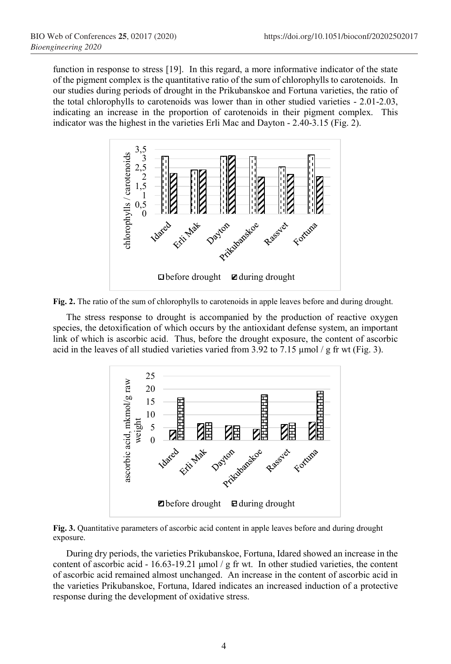function in response to stress [19]. In this regard, a more informative indicator of the state of the pigment complex is the quantitative ratio of the sum of chlorophylls to carotenoids. In our studies during periods of drought in the Prikubanskoe and Fortuna varieties, the ratio of the total chlorophylls to carotenoids was lower than in other studied varieties - 2.01-2.03, indicating an increase in the proportion of carotenoids in their pigment complex. This indicator was the highest in the varieties Erli Mac and Dayton - 2.40-3.15 (Fig. 2).



**Fig. 2.** The ratio of the sum of chlorophylls to carotenoids in apple leaves before and during drought.

The stress response to drought is accompanied by the production of reactive oxygen species, the detoxification of which occurs by the antioxidant defense system, an important link of which is ascorbic acid. Thus, before the drought exposure, the content of ascorbic acid in the leaves of all studied varieties varied from 3.92 to 7.15  $\mu$ mol / g fr wt (Fig. 3).



**Fig. 3.** Quantitative parameters of ascorbic acid content in apple leaves before and during drought exposure.

During dry periods, the varieties Prikubanskoe, Fortuna, Idared showed an increase in the content of ascorbic acid - 16.63-19.21 μmol / g fr wt. In other studied varieties, the content of ascorbic acid remained almost unchanged. An increase in the content of ascorbic acid in the varieties Prikubanskoe, Fortuna, Idared indicates an increased induction of a protective response during the development of oxidative stress.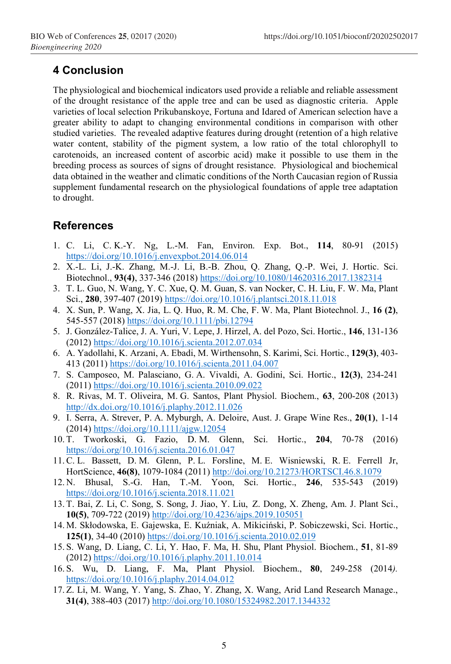## **4 Conclusion**

The physiological and biochemical indicators used provide a reliable and reliable assessment of the drought resistance of the apple tree and can be used as diagnostic criteria. Apple varieties of local selection Prikubanskoye, Fortuna and Idared of American selection have a greater ability to adapt to changing environmental conditions in comparison with other studied varieties. The revealed adaptive features during drought (retention of a high relative water content, stability of the pigment system, a low ratio of the total chlorophyll to carotenoids, an increased content of ascorbic acid) make it possible to use them in the breeding process as sources of signs of drought resistance. Physiological and biochemical data obtained in the weather and climatic conditions of the North Caucasian region of Russia supplement fundamental research on the physiological foundations of apple tree adaptation to drought.

## **References**

- 1. C. Li, C. K.-Y. Ng, L.-M. Fan, Environ. Exp. Bot., **114**, 80-91 (2015) <https://doi.org/10.1016/j.envexpbot.2014.06.014>
- 2. [X.-L.](https://www.tandfonline.com/author/Li%2C+Xing-Liang) Li, J.-K. [Zhang,](https://www.tandfonline.com/author/Zhang%2C+Jun-Ke) [M.-J.](https://www.tandfonline.com/author/Li%2C+Min-Ji) Li, [B.-B.](https://www.tandfonline.com/author/Zhou%2C+Bei-Bei) Zhou, Q. [Zhang,](https://www.tandfonline.com/author/Zhang%2C+Qiang) Q.-P. Wei, J. [Hortic. Sci.](https://www.tandfonline.com/toc/thsb20/current) [Biotechnol.,](https://www.tandfonline.com/toc/thsb20/current) **93(4)**, 337-346 (2018)<https://doi.org/10.1080/14620316.2017.1382314>
- 3. T. L. Guo, N. Wang, Y. C. Xue, Q. M. Guan, S. van Nocker, C. H. Liu, F. W. Ma, Plant Sci., **280**, 397-407 (2019)<https://doi.org/10.1016/j.plantsci.2018.11.018>
- 4. X. Sun, P. [Wang,](https://scholar.google.ru/citations?user=T1nQshMAAAAJ&hl=ru&oi=sra) X. Jia, L. Q. Huo, R. M. Che, F. W. Ma, Plant Biotechnol. J., **[16 \(2\)](file://Machneva/%D0%BC%D0%B0%D1%87%D0%BD%D0%B5%D0%B2%D0%B0%20%D0%B4%D0%BB%D1%8F%20%D1%81%D0%B5%D1%82%D0%B8/%D0%A1%D1%82%D0%B0%D1%82%D1%8C%D0%B8%20%D0%9A%D0%BE%D0%BD%D1%84%D0%B5%D1%80%D0%B5%D0%BD%D1%86%D0%B8%D1%8F%20%D0%B1%D0%B8%D0%BE%D1%82%D0%B5%D1%85/%D0%A1%D0%B0%D0%B4%D0%BE%D0%B2%D0%BE%D0%B4%D1%81%D1%82%D0%B2%D0%BE/%D0%A1%D0%B1%D0%BE%D1%80%D0%BD%D0%B8%D0%BA%20Web%20of%20Conferences/%D0%98%D1%81%D0%BF%D1%80%D0%B0%D0%B2%D0%BB%D0%B5%D0%BD%D0%BD%D1%8B%D0%B5%20%D0%B0%D0%B2%D1%82%D0%BE%D1%80%D0%BE%D0%BC/16%20(2)**, 545-557 (2018)<https://doi.org/10.1111/pbi.12794>
- 5. J. González-Talice, J. A. Yuri, V. Lepe, J. Hirzel, A. [del Pozo,](https://www.sciencedirect.com/science/article/pii/S0304423812003652?via%3Dihub#!) Sci. Hortic., **[146](file://Machneva/%D0%BC%D0%B0%D1%87%D0%BD%D0%B5%D0%B2%D0%B0%20%D0%B4%D0%BB%D1%8F%20%D1%81%D0%B5%D1%82%D0%B8/%D0%A1%D1%82%D0%B0%D1%82%D1%8C%D0%B8%20%D0%9A%D0%BE%D0%BD%D1%84%D0%B5%D1%80%D0%B5%D0%BD%D1%86%D0%B8%D1%8F%20%D0%B1%D0%B8%D0%BE%D1%82%D0%B5%D1%85/%D0%A1%D0%B0%D0%B4%D0%BE%D0%B2%D0%BE%D0%B4%D1%81%D1%82%D0%B2%D0%BE/%D0%A1%D0%B1%D0%BE%D1%80%D0%BD%D0%B8%D0%BA%20Web%20of%20Conferences/%D0%98%D1%81%D0%BF%D1%80%D0%B0%D0%B2%D0%BB%D0%B5%D0%BD%D0%BD%D1%8B%D0%B5%20%D0%B0%D0%B2%D1%82%D0%BE%D1%80%D0%BE%D0%BC/,%20146)**, 131-136 (2012)<https://doi.org/10.1016/j.scienta.2012.07.034>
- 6. A. Yadollahi, K. Arzani, A. Ebadi, M. Wirthensohn, S. Karimi, Sci. Hortic., **129(3)**, 403- 413 (2011[\) https://doi.org/10.1016/j.scienta.2011.04.007](https://doi.org/10.1016/j.scienta.2011.04.007)
- 7. S. Camposeo, M. Palasciano, G. [A. Vivaldi,](https://scholar.google.ru/citations?user=j90LZXMAAAAJ&hl=ru&oi=sra) A. Godini, Sci. Hortic., **12(3)**, 234-241 (2011) <https://doi.org/10.1016/j.scienta.2010.09.022>
- 8. R. Rivas, M. T. Oliveira, M. [G. Santos,](https://scholar.google.ru/citations?user=Mel-KBQAAAAJ&hl=ru&oi=sra) Plant Physiol. Biochem., **63**, 200-208 (2013) <http://dx.doi.org/10.1016/j.plaphy.2012.11.026>
- 9. I. Serra, A. Strever, P. A. Myburgh, A. Deloire, Aust. J. Grape Wine Res., **20(1)**, 1-14 (2014) <https://doi.org/10.1111/ajgw.12054>
- 10. T. Tworkoski, G. Fazio, D. M. Glenn, Sci. Hortic., **204**, 70-78 (2016) <https://doi.org/10.1016/j.scienta.2016.01.047>
- 11.C. L. Bassett, D. M. Glenn, P. L. Forsline, M. E. [Wisniewski,](https://scholar.google.ru/citations?user=kH_8TbsAAAAJ&hl=ru&oi=sra) R. E. Ferrell Jr, HortScience, **46(8)**, 1079-1084 (2011) <http://doi.org/10.21273/HORTSCI.46.8.1079>
- 12. N. Bhusal, S.-G. Han, T.-M. Yoon, Sci. Hortic., **[246](https://www.sciencedirect.com/science/journal/03044238/246/supp/C)**, 535-543 (2019) <https://doi.org/10.1016/j.scienta.2018.11.021>
- 13. T. Bai, Z. Li, C. Song, S. Song, J. Jiao, Y. Liu, Z. Dong, X. Zheng, Am. J. Plant Sci., **10(5)**, 709-722 (2019) <http://doi.org/10.4236/ajps.2019.105051>
- 14. M. Skłodowska, E. Gajewska, E. Kuźniak, A. Mikiciński, P. [Sobiczewski,](https://www.sciencedirect.com/science/article/pii/S0304423810000907?via%3Dihub#!) Sci. Hortic., **125(1)**, 34-40 (2010) <https://doi.org/10.1016/j.scienta.2010.02.019>
- 15. S. Wang, D. Liang, C. Li, Y. Hao, F. Ma, H. Shu, Plant Physiol. Biochem., **51**, 81-89 (2012) <https://doi.org/10.1016/j.plaphy.2011.10.014>
- 16. S. Wu, D. Liang, F. Ma, Plant Physiol. Biochem., **80**, 249-258 (2014*).*  <https://doi.org/10.1016/j.plaphy.2014.04.012>
- 17. Z. Li, M. Wang, Y. Yang, S. Zhao, Y. Zhang, X. Wang, Arid Land Research Manage., **31(4)**, 388-403 (2017[\) http://doi.org/10.1080/15324982.2017.1344332](http://doi.org/10.1080/15324982.2017.1344332)